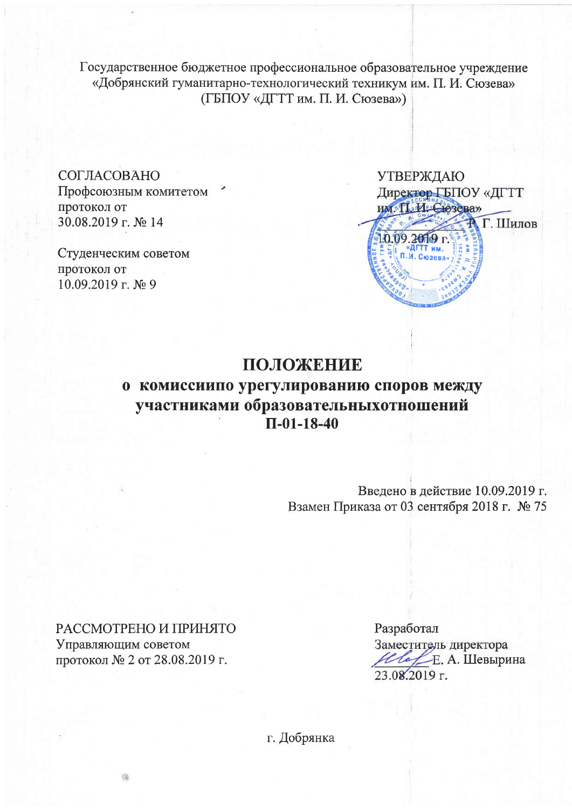Государственное бюджетное профессиональное образовательное учреждение «Добрянский гуманитарно-технологический техникум им. П. И. Сюзева» (ГБПОУ «ДГТТ им. П. И. Сюзева»)

СОГЛАСОВАНО Профсоюзным комитетом протокол от 30.08.2019 г. № 14

Студенческим советом протокол от  $10.09.2019$  г. № 9

**УТВЕРЖДАЮ** Директор ГБПОУ «ДГТТ им. Т. И. Сюзева» **Р. Г. Шилов** 10.09.2019 г. «ДГТТ им.

## ПОЛОЖЕНИЕ

# о комиссиипо урегулированию споров между участниками образовательныхотношений  $\Pi$ -01-18-40

Введено в действие 10.09.2019 г. Взамен Приказа от 03 сентября 2018 г. № 75

РАССМОТРЕНО И ПРИНЯТО Управляющим советом протокол № 2 от 28.08.2019 г.

伯

Разработал Заместитель директора Ивре. А. Шевырина 23.08.2019 г.

г. Добрянка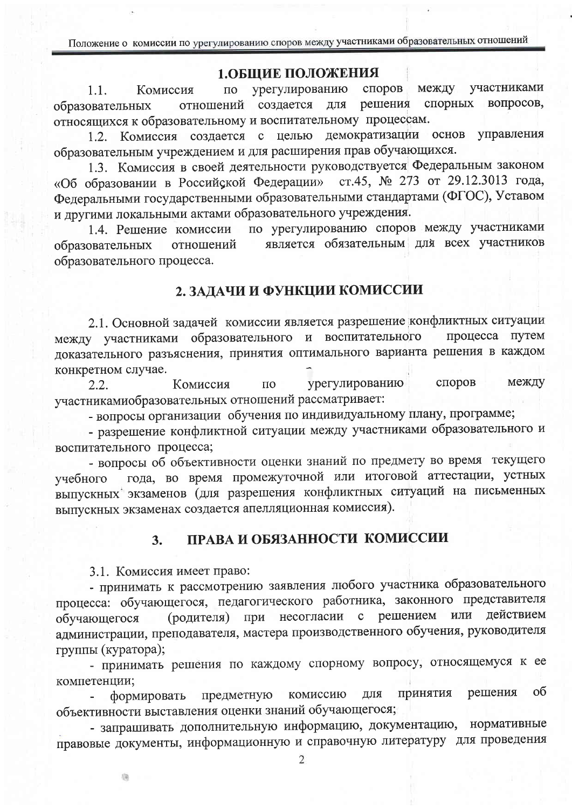## 1.ОБЩИЕ ПОЛОЖЕНИЯ

участниками урегулированию споров между  $\overline{10}$  $1.1.$ Комиссия спорных вопросов, создается для решения образовательных отношений относящихся к образовательному и воспитательному процессам.

демократизации основ управления 1.2. Комиссия создается с целью образовательным учреждением и для расширения прав обучающихся.

1.3. Комиссия в своей деятельности руководствуется Федеральным законом «Об образовании в Российской Федерации» ст.45, № 273 от 29.12.3013 года, Федеральными государственными образовательными стандартами (ФГОС), Уставом и другими локальными актами образовательного учреждения.

по урегулированию споров между участниками 1.4. Решение комиссии является обязательным для всех участников отношений образовательных образовательного процесса.

### 2. ЗАДАЧИ И ФУНКЦИИ КОМИССИИ

2.1. Основной задачей комиссии является разрешение конфликтных ситуации между участниками образовательного и воспитательного процесса путем доказательного разъяснения, принятия оптимального варианта решения в каждом конкретном случае.

споров между Комиссия  $\Pi$ <sup>O</sup> урегулированию  $2.2.$ участникамиобразовательных отношений рассматривает:

- вопросы организации обучения по индивидуальному плану, программе;

- разрешение конфликтной ситуации между участниками образовательного и воспитательного процесса;

- вопросы об объективности оценки знаний по предмету во время текущего года, во время промежуточной или итоговой аттестации, устных учебного выпускных экзаменов (для разрешения конфликтных ситуаций на письменных выпускных экзаменах создается апелляционная комиссия).

#### ПРАВА И ОБЯЗАННОСТИ КОМИССИИ  $3.$

3.1. Комиссия имеет право:

- принимать к рассмотрению заявления любого участника образовательного процесса: обучающегося, педагогического работника, законного представителя (родителя) при несогласии с решением или действием обучающегося администрации, преподавателя, мастера производственного обучения, руководителя группы (куратора);

- принимать решения по каждому спорному вопросу, относящемуся к ее компетенции;

решения  $\sigma$ принятия комиссию ДЛЯ формировать предметную объективности выставления оценки знаний обучающегося;

- запрашивать дополнительную информацию, документацию, нормативные правовые документы, информационную и справочную литературу для проведения